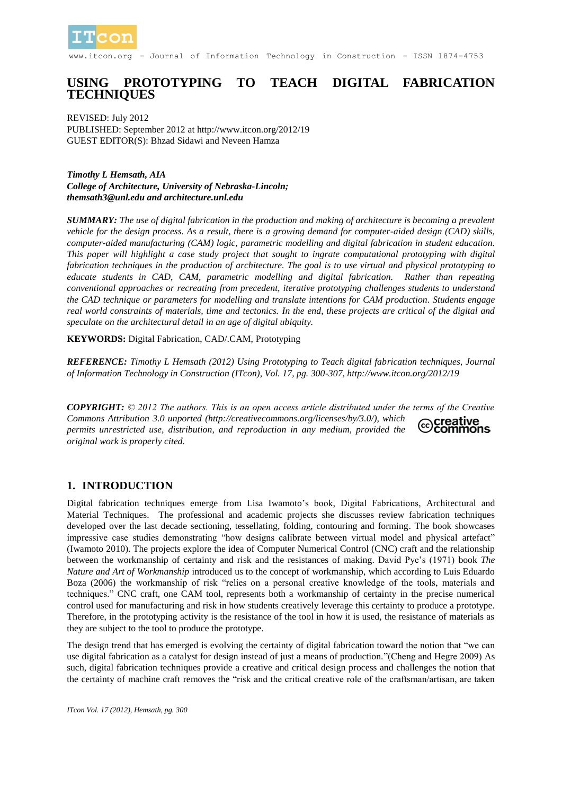

itcon.org - Journal of Information Technology in Construction - ISSN 1874-4753

### **USING PROTOTYPING TO TEACH DIGITAL FABRICATION TECHNIQUES**

REVISED: July 2012 PUBLISHED: September 2012 at http://www.itcon.org/2012/19 GUEST EDITOR(S): Bhzad Sidawi and Neveen Hamza

*Timothy L Hemsath, AIA College of Architecture, University of Nebraska-Lincoln; themsath3@unl.edu and architecture.unl.edu*

*SUMMARY: The use of digital fabrication in the production and making of architecture is becoming a prevalent vehicle for the design process. As a result, there is a growing demand for computer-aided design (CAD) skills, computer-aided manufacturing (CAM) logic, parametric modelling and digital fabrication in student education. This paper will highlight a case study project that sought to ingrate computational prototyping with digital fabrication techniques in the production of architecture. The goal is to use virtual and physical prototyping to educate students in CAD, CAM, parametric modelling and digital fabrication. Rather than repeating conventional approaches or recreating from precedent, iterative prototyping challenges students to understand the CAD technique or parameters for modelling and translate intentions for CAM production. Students engage real world constraints of materials, time and tectonics. In the end, these projects are critical of the digital and speculate on the architectural detail in an age of digital ubiquity.*

**KEYWORDS:** Digital Fabrication, CAD/.CAM, Prototyping

*REFERENCE: Timothy L Hemsath (2012) Using Prototyping to Teach digital fabrication techniques, Journal of Information Technology in Construction (ITcon), Vol. 17, pg. 300-307, http://www.itcon.org/2012/19*

*COPYRIGHT: © 2012 The authors. This is an open access article distributed under the terms of the Creative Commons Attribution 3.0 unported (http://creativecommons.org/licenses/by/3.0/), which*  ©creative<br>©commons *permits unrestricted use, distribution, and reproduction in any medium, provided the original work is properly cited.*

#### **1. INTRODUCTION**

Digital fabrication techniques emerge from Lisa Iwamoto's book, Digital Fabrications, Architectural and Material Techniques. The professional and academic projects she discusses review fabrication techniques developed over the last decade sectioning, tessellating, folding, contouring and forming. The book showcases impressive case studies demonstrating "how designs calibrate between virtual model and physical artefact" (Iwamoto 2010). The projects explore the idea of Computer Numerical Control (CNC) craft and the relationship between the workmanship of certainty and risk and the resistances of making. David Pye's (1971) book *The Nature and Art of Workmanship* introduced us to the concept of workmanship, which according to Luis Eduardo Boza (2006) the workmanship of risk "relies on a personal creative knowledge of the tools, materials and techniques." CNC craft, one CAM tool, represents both a workmanship of certainty in the precise numerical control used for manufacturing and risk in how students creatively leverage this certainty to produce a prototype. Therefore, in the prototyping activity is the resistance of the tool in how it is used, the resistance of materials as they are subject to the tool to produce the prototype.

The design trend that has emerged is evolving the certainty of digital fabrication toward the notion that "we can use digital fabrication as a catalyst for design instead of just a means of production."(Cheng and Hegre 2009) As such, digital fabrication techniques provide a creative and critical design process and challenges the notion that the certainty of machine craft removes the "risk and the critical creative role of the craftsman/artisan, are taken

*ITcon Vol. 17 (2012), Hemsath, pg. 300*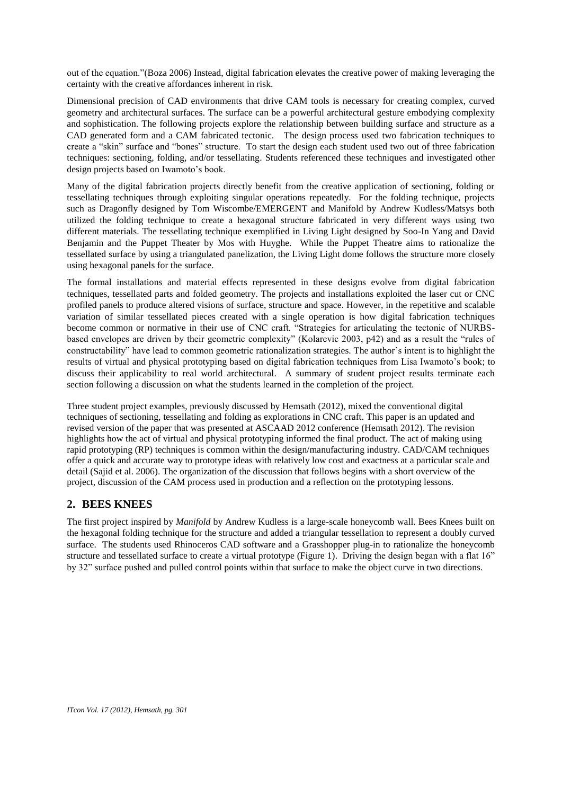out of the equation."(Boza 2006) Instead, digital fabrication elevates the creative power of making leveraging the certainty with the creative affordances inherent in risk.

Dimensional precision of CAD environments that drive CAM tools is necessary for creating complex, curved geometry and architectural surfaces. The surface can be a powerful architectural gesture embodying complexity and sophistication. The following projects explore the relationship between building surface and structure as a CAD generated form and a CAM fabricated tectonic. The design process used two fabrication techniques to create a "skin" surface and "bones" structure. To start the design each student used two out of three fabrication techniques: sectioning, folding, and/or tessellating. Students referenced these techniques and investigated other design projects based on Iwamoto's book.

Many of the digital fabrication projects directly benefit from the creative application of sectioning, folding or tessellating techniques through exploiting singular operations repeatedly. For the folding technique, projects such as Dragonfly designed by Tom Wiscombe/EMERGENT and Manifold by Andrew Kudless/Matsys both utilized the folding technique to create a hexagonal structure fabricated in very different ways using two different materials. The tessellating technique exemplified in Living Light designed by Soo-In Yang and David Benjamin and the Puppet Theater by Mos with Huyghe. While the Puppet Theatre aims to rationalize the tessellated surface by using a triangulated panelization, the Living Light dome follows the structure more closely using hexagonal panels for the surface.

The formal installations and material effects represented in these designs evolve from digital fabrication techniques, tessellated parts and folded geometry. The projects and installations exploited the laser cut or CNC profiled panels to produce altered visions of surface, structure and space. However, in the repetitive and scalable variation of similar tessellated pieces created with a single operation is how digital fabrication techniques become common or normative in their use of CNC craft. "Strategies for articulating the tectonic of NURBSbased envelopes are driven by their geometric complexity" (Kolarevic 2003, p42) and as a result the "rules of constructability" have lead to common geometric rationalization strategies. The author's intent is to highlight the results of virtual and physical prototyping based on digital fabrication techniques from Lisa Iwamoto's book; to discuss their applicability to real world architectural. A summary of student project results terminate each section following a discussion on what the students learned in the completion of the project.

Three student project examples, previously discussed by Hemsath (2012), mixed the conventional digital techniques of sectioning, tessellating and folding as explorations in CNC craft. This paper is an updated and revised version of the paper that was presented at ASCAAD 2012 conference (Hemsath 2012). The revision highlights how the act of virtual and physical prototyping informed the final product. The act of making using rapid prototyping (RP) techniques is common within the design/manufacturing industry. CAD/CAM techniques offer a quick and accurate way to prototype ideas with relatively low cost and exactness at a particular scale and detail (Sajid et al. 2006). The organization of the discussion that follows begins with a short overview of the project, discussion of the CAM process used in production and a reflection on the prototyping lessons.

#### **2. BEES KNEES**

The first project inspired by *Manifold* by Andrew Kudless is a large-scale honeycomb wall. Bees Knees built on the hexagonal folding technique for the structure and added a triangular tessellation to represent a doubly curved surface. The students used Rhinoceros CAD software and a Grasshopper plug-in to rationalize the honeycomb structure and tessellated surface to create a virtual prototype (Figure 1). Driving the design began with a flat 16" by 32" surface pushed and pulled control points within that surface to make the object curve in two directions.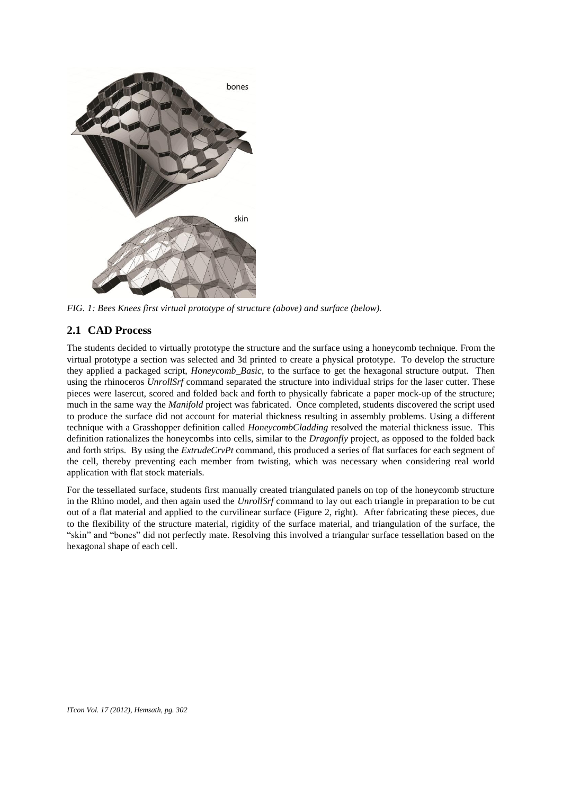

*FIG. 1: Bees Knees first virtual prototype of structure (above) and surface (below).*

## **2.1 CAD Process**

The students decided to virtually prototype the structure and the surface using a honeycomb technique. From the virtual prototype a section was selected and 3d printed to create a physical prototype. To develop the structure they applied a packaged script, *Honeycomb\_Basic*, to the surface to get the hexagonal structure output. Then using the rhinoceros *UnrollSrf* command separated the structure into individual strips for the laser cutter. These pieces were lasercut, scored and folded back and forth to physically fabricate a paper mock-up of the structure; much in the same way the *Manifold* project was fabricated. Once completed, students discovered the script used to produce the surface did not account for material thickness resulting in assembly problems. Using a different technique with a Grasshopper definition called *HoneycombCladding* resolved the material thickness issue. This definition rationalizes the honeycombs into cells, similar to the *Dragonfly* project, as opposed to the folded back and forth strips. By using the *ExtrudeCrvPt* command, this produced a series of flat surfaces for each segment of the cell, thereby preventing each member from twisting, which was necessary when considering real world application with flat stock materials.

For the tessellated surface, students first manually created triangulated panels on top of the honeycomb structure in the Rhino model, and then again used the *UnrollSrf* command to lay out each triangle in preparation to be cut out of a flat material and applied to the curvilinear surface (Figure 2, right). After fabricating these pieces, due to the flexibility of the structure material, rigidity of the surface material, and triangulation of the surface, the "skin" and "bones" did not perfectly mate. Resolving this involved a triangular surface tessellation based on the hexagonal shape of each cell.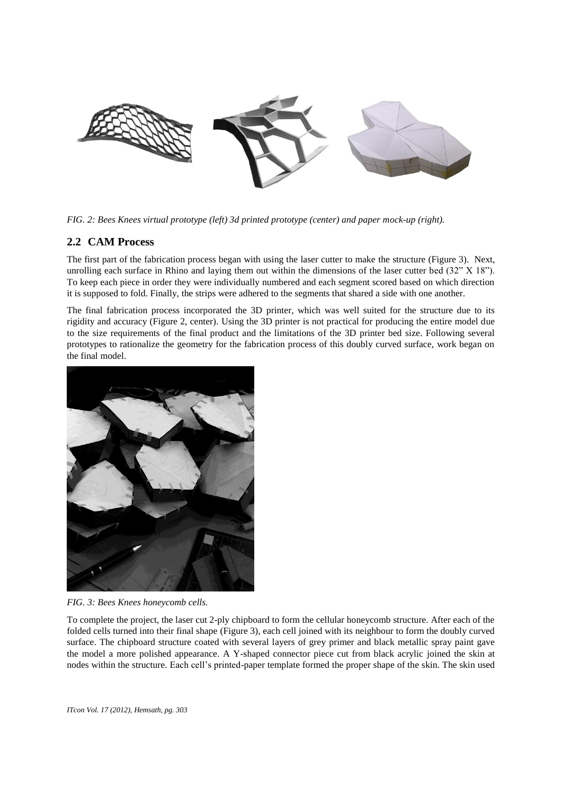

*FIG. 2: Bees Knees virtual prototype (left) 3d printed prototype (center) and paper mock-up (right).*

#### **2.2 CAM Process**

The first part of the fabrication process began with using the laser cutter to make the structure (Figure 3). Next, unrolling each surface in Rhino and laying them out within the dimensions of the laser cutter bed (32" X 18"). To keep each piece in order they were individually numbered and each segment scored based on which direction it is supposed to fold. Finally, the strips were adhered to the segments that shared a side with one another.

The final fabrication process incorporated the 3D printer, which was well suited for the structure due to its rigidity and accuracy (Figure 2, center). Using the 3D printer is not practical for producing the entire model due to the size requirements of the final product and the limitations of the 3D printer bed size. Following several prototypes to rationalize the geometry for the fabrication process of this doubly curved surface, work began on the final model.



*FIG. 3: Bees Knees honeycomb cells.*

To complete the project, the laser cut 2-ply chipboard to form the cellular honeycomb structure. After each of the folded cells turned into their final shape (Figure 3), each cell joined with its neighbour to form the doubly curved surface. The chipboard structure coated with several layers of grey primer and black metallic spray paint gave the model a more polished appearance. A Y-shaped connector piece cut from black acrylic joined the skin at nodes within the structure. Each cell's printed-paper template formed the proper shape of the skin. The skin used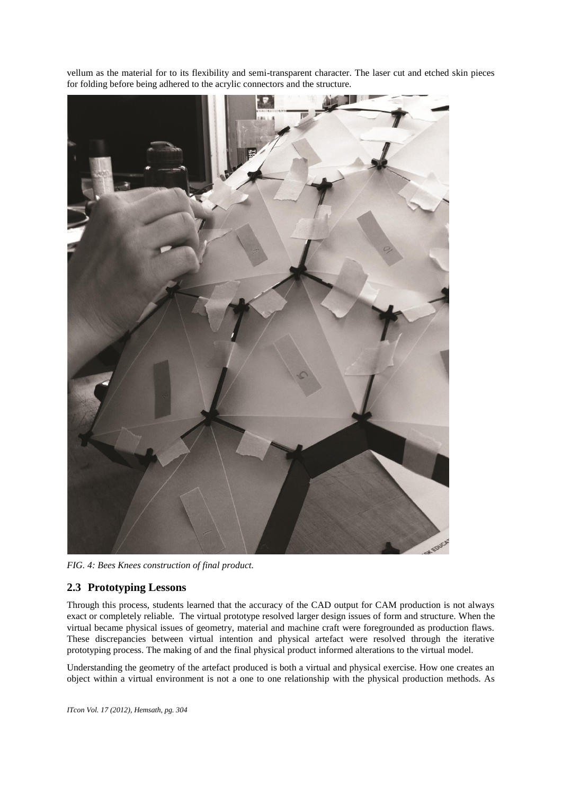



*FIG. 4: Bees Knees construction of final product.*

## **2.3 Prototyping Lessons**

Through this process, students learned that the accuracy of the CAD output for CAM production is not always exact or completely reliable. The virtual prototype resolved larger design issues of form and structure. When the virtual became physical issues of geometry, material and machine craft were foregrounded as production flaws. These discrepancies between virtual intention and physical artefact were resolved through the iterative prototyping process. The making of and the final physical product informed alterations to the virtual model.

Understanding the geometry of the artefact produced is both a virtual and physical exercise. How one creates an object within a virtual environment is not a one to one relationship with the physical production methods. As

*ITcon Vol. 17 (2012), Hemsath, pg. 304*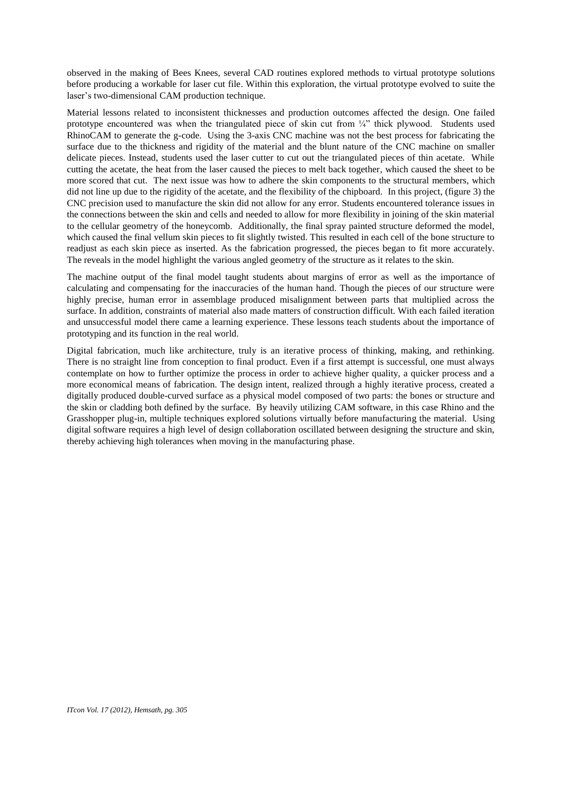observed in the making of Bees Knees, several CAD routines explored methods to virtual prototype solutions before producing a workable for laser cut file. Within this exploration, the virtual prototype evolved to suite the laser's two-dimensional CAM production technique.

Material lessons related to inconsistent thicknesses and production outcomes affected the design. One failed prototype encountered was when the triangulated piece of skin cut from  $\frac{1}{4}$ " thick plywood. Students used RhinoCAM to generate the g-code. Using the 3-axis CNC machine was not the best process for fabricating the surface due to the thickness and rigidity of the material and the blunt nature of the CNC machine on smaller delicate pieces. Instead, students used the laser cutter to cut out the triangulated pieces of thin acetate. While cutting the acetate, the heat from the laser caused the pieces to melt back together, which caused the sheet to be more scored that cut. The next issue was how to adhere the skin components to the structural members, which did not line up due to the rigidity of the acetate, and the flexibility of the chipboard. In this project, (figure 3) the CNC precision used to manufacture the skin did not allow for any error. Students encountered tolerance issues in the connections between the skin and cells and needed to allow for more flexibility in joining of the skin material to the cellular geometry of the honeycomb. Additionally, the final spray painted structure deformed the model, which caused the final vellum skin pieces to fit slightly twisted. This resulted in each cell of the bone structure to readjust as each skin piece as inserted. As the fabrication progressed, the pieces began to fit more accurately. The reveals in the model highlight the various angled geometry of the structure as it relates to the skin.

The machine output of the final model taught students about margins of error as well as the importance of calculating and compensating for the inaccuracies of the human hand. Though the pieces of our structure were highly precise, human error in assemblage produced misalignment between parts that multiplied across the surface. In addition, constraints of material also made matters of construction difficult. With each failed iteration and unsuccessful model there came a learning experience. These lessons teach students about the importance of prototyping and its function in the real world.

Digital fabrication, much like architecture, truly is an iterative process of thinking, making, and rethinking. There is no straight line from conception to final product. Even if a first attempt is successful, one must always contemplate on how to further optimize the process in order to achieve higher quality, a quicker process and a more economical means of fabrication. The design intent, realized through a highly iterative process, created a digitally produced double-curved surface as a physical model composed of two parts: the bones or structure and the skin or cladding both defined by the surface. By heavily utilizing CAM software, in this case Rhino and the Grasshopper plug-in, multiple techniques explored solutions virtually before manufacturing the material. Using digital software requires a high level of design collaboration oscillated between designing the structure and skin, thereby achieving high tolerances when moving in the manufacturing phase.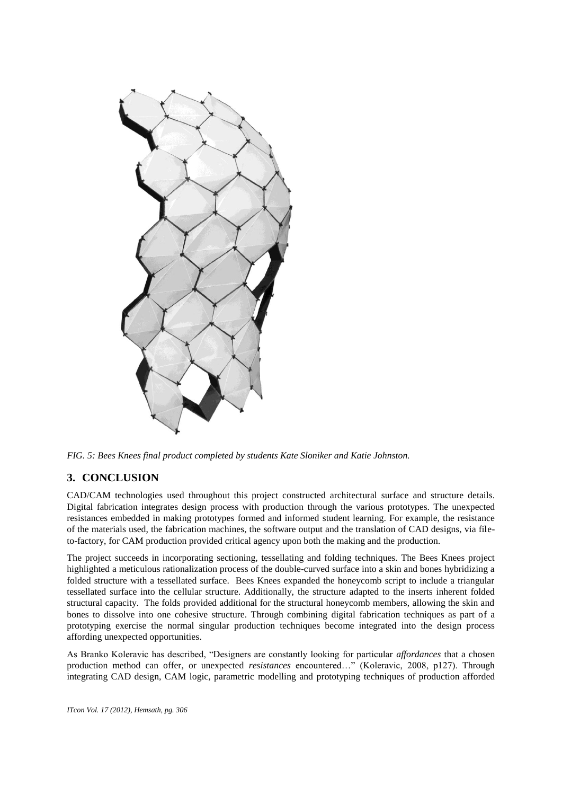

*FIG. 5: Bees Knees final product completed by students Kate Sloniker and Katie Johnston.*

# **3. CONCLUSION**

CAD/CAM technologies used throughout this project constructed architectural surface and structure details. Digital fabrication integrates design process with production through the various prototypes. The unexpected resistances embedded in making prototypes formed and informed student learning. For example, the resistance of the materials used, the fabrication machines, the software output and the translation of CAD designs, via fileto-factory, for CAM production provided critical agency upon both the making and the production.

The project succeeds in incorporating sectioning, tessellating and folding techniques. The Bees Knees project highlighted a meticulous rationalization process of the double-curved surface into a skin and bones hybridizing a folded structure with a tessellated surface. Bees Knees expanded the honeycomb script to include a triangular tessellated surface into the cellular structure. Additionally, the structure adapted to the inserts inherent folded structural capacity. The folds provided additional for the structural honeycomb members, allowing the skin and bones to dissolve into one cohesive structure. Through combining digital fabrication techniques as part of a prototyping exercise the normal singular production techniques become integrated into the design process affording unexpected opportunities.

As Branko Koleravic has described, "Designers are constantly looking for particular *affordances* that a chosen production method can offer, or unexpected *resistances* encountered…" (Koleravic, 2008, p127). Through integrating CAD design, CAM logic, parametric modelling and prototyping techniques of production afforded

*ITcon Vol. 17 (2012), Hemsath, pg. 306*